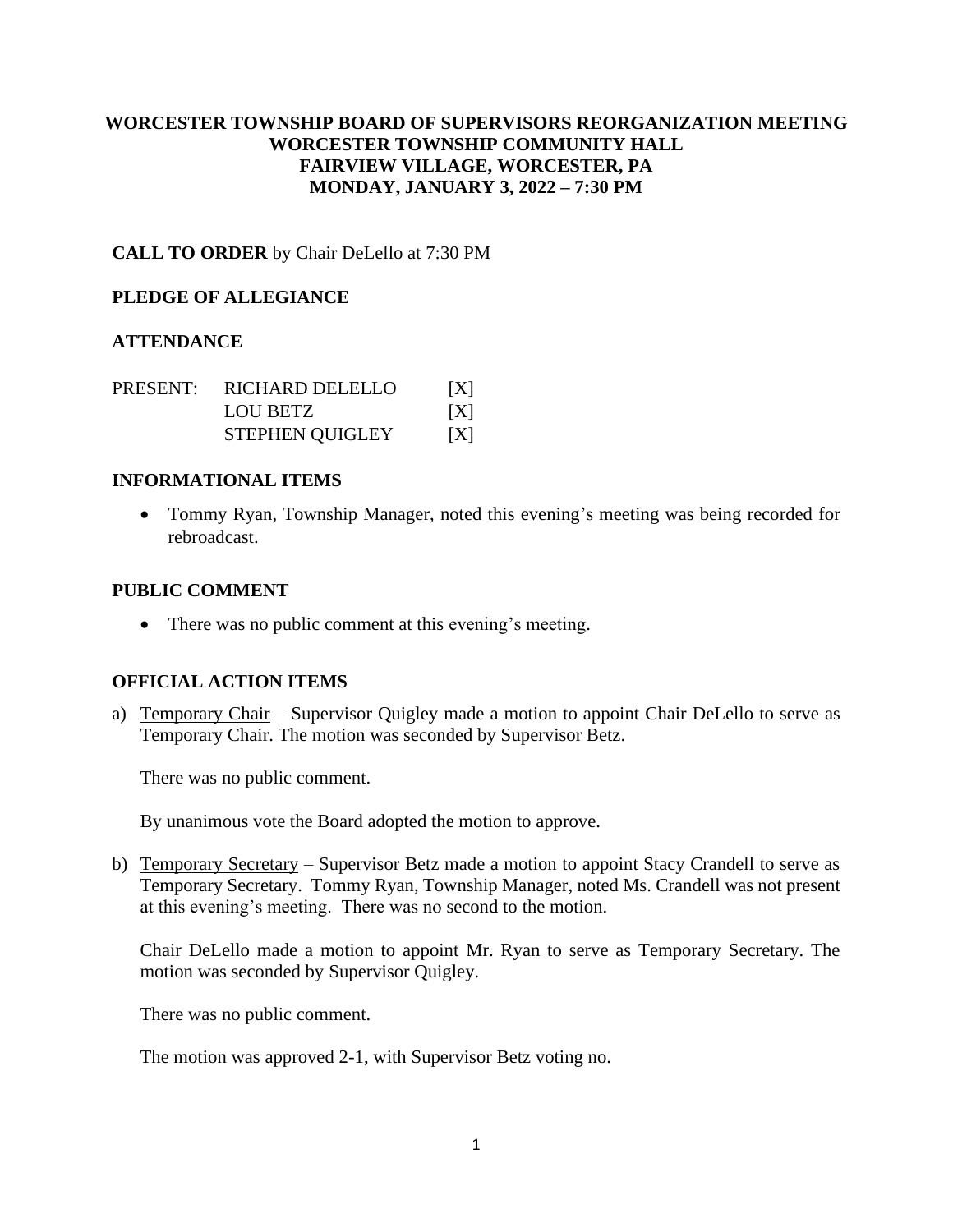# **WORCESTER TOWNSHIP BOARD OF SUPERVISORS REORGANIZATION MEETING WORCESTER TOWNSHIP COMMUNITY HALL FAIRVIEW VILLAGE, WORCESTER, PA MONDAY, JANUARY 3, 2022 – 7:30 PM**

**CALL TO ORDER** by Chair DeLello at 7:30 PM

### **PLEDGE OF ALLEGIANCE**

### **ATTENDANCE**

| PRESENT: | RICHARD DELELLO        | X |
|----------|------------------------|---|
|          | LOU BETZ               | X |
|          | <b>STEPHEN QUIGLEY</b> | X |

### **INFORMATIONAL ITEMS**

• Tommy Ryan, Township Manager, noted this evening's meeting was being recorded for rebroadcast.

#### **PUBLIC COMMENT**

• There was no public comment at this evening's meeting.

### **OFFICIAL ACTION ITEMS**

a) Temporary Chair – Supervisor Quigley made a motion to appoint Chair DeLello to serve as Temporary Chair. The motion was seconded by Supervisor Betz.

There was no public comment.

By unanimous vote the Board adopted the motion to approve.

b) Temporary Secretary – Supervisor Betz made a motion to appoint Stacy Crandell to serve as Temporary Secretary. Tommy Ryan, Township Manager, noted Ms. Crandell was not present at this evening's meeting. There was no second to the motion.

Chair DeLello made a motion to appoint Mr. Ryan to serve as Temporary Secretary. The motion was seconded by Supervisor Quigley.

There was no public comment.

The motion was approved 2-1, with Supervisor Betz voting no.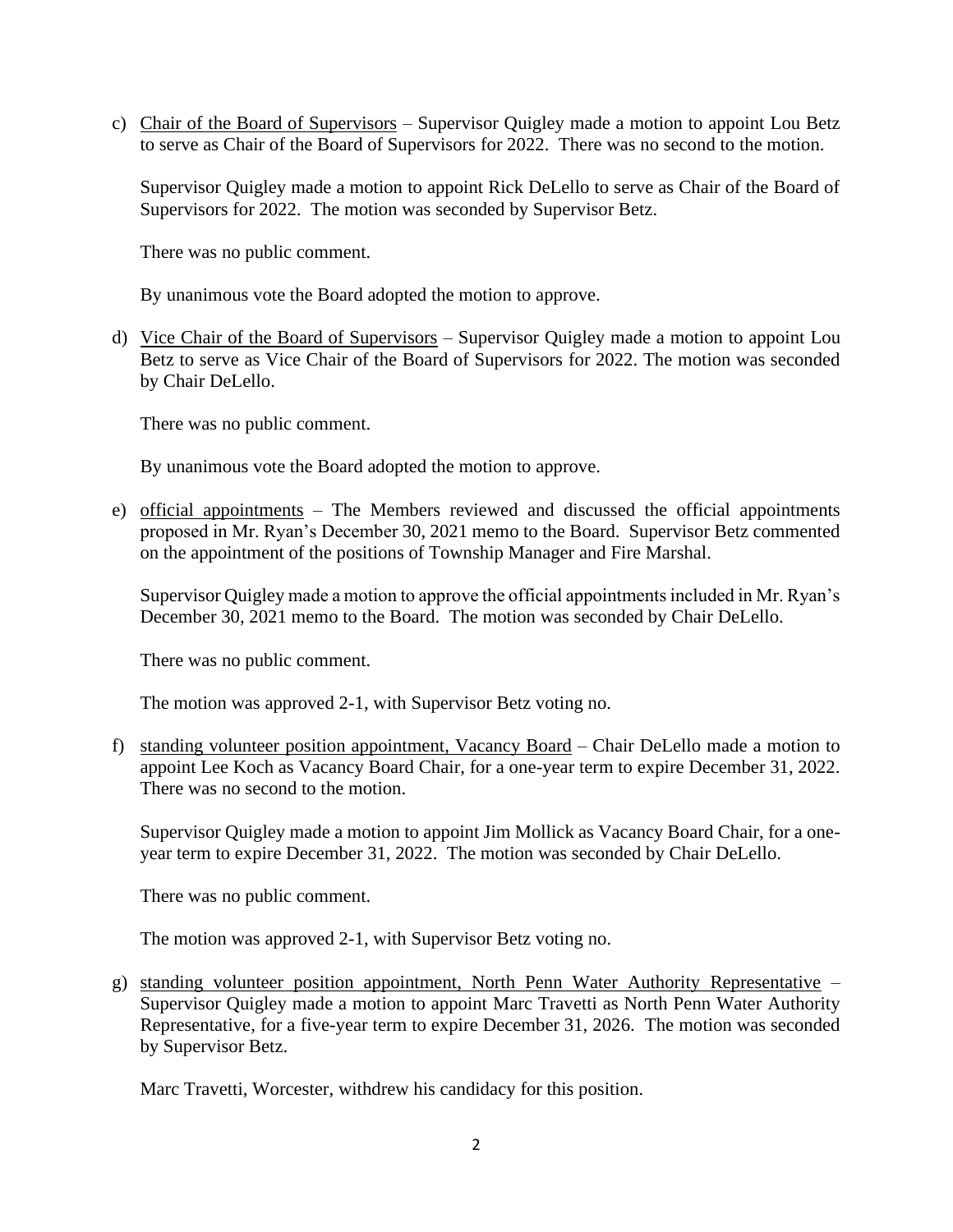c) Chair of the Board of Supervisors – Supervisor Quigley made a motion to appoint Lou Betz to serve as Chair of the Board of Supervisors for 2022. There was no second to the motion.

Supervisor Quigley made a motion to appoint Rick DeLello to serve as Chair of the Board of Supervisors for 2022. The motion was seconded by Supervisor Betz.

There was no public comment.

By unanimous vote the Board adopted the motion to approve.

d) Vice Chair of the Board of Supervisors – Supervisor Quigley made a motion to appoint Lou Betz to serve as Vice Chair of the Board of Supervisors for 2022. The motion was seconded by Chair DeLello.

There was no public comment.

By unanimous vote the Board adopted the motion to approve.

e) official appointments – The Members reviewed and discussed the official appointments proposed in Mr. Ryan's December 30, 2021 memo to the Board. Supervisor Betz commented on the appointment of the positions of Township Manager and Fire Marshal.

Supervisor Quigley made a motion to approve the official appointments included in Mr. Ryan's December 30, 2021 memo to the Board. The motion was seconded by Chair DeLello.

There was no public comment.

The motion was approved 2-1, with Supervisor Betz voting no.

f) standing volunteer position appointment, Vacancy Board – Chair DeLello made a motion to appoint Lee Koch as Vacancy Board Chair, for a one-year term to expire December 31, 2022. There was no second to the motion.

Supervisor Quigley made a motion to appoint Jim Mollick as Vacancy Board Chair, for a oneyear term to expire December 31, 2022. The motion was seconded by Chair DeLello.

There was no public comment.

The motion was approved 2-1, with Supervisor Betz voting no.

g) standing volunteer position appointment, North Penn Water Authority Representative – Supervisor Quigley made a motion to appoint Marc Travetti as North Penn Water Authority Representative, for a five-year term to expire December 31, 2026. The motion was seconded by Supervisor Betz.

Marc Travetti, Worcester, withdrew his candidacy for this position.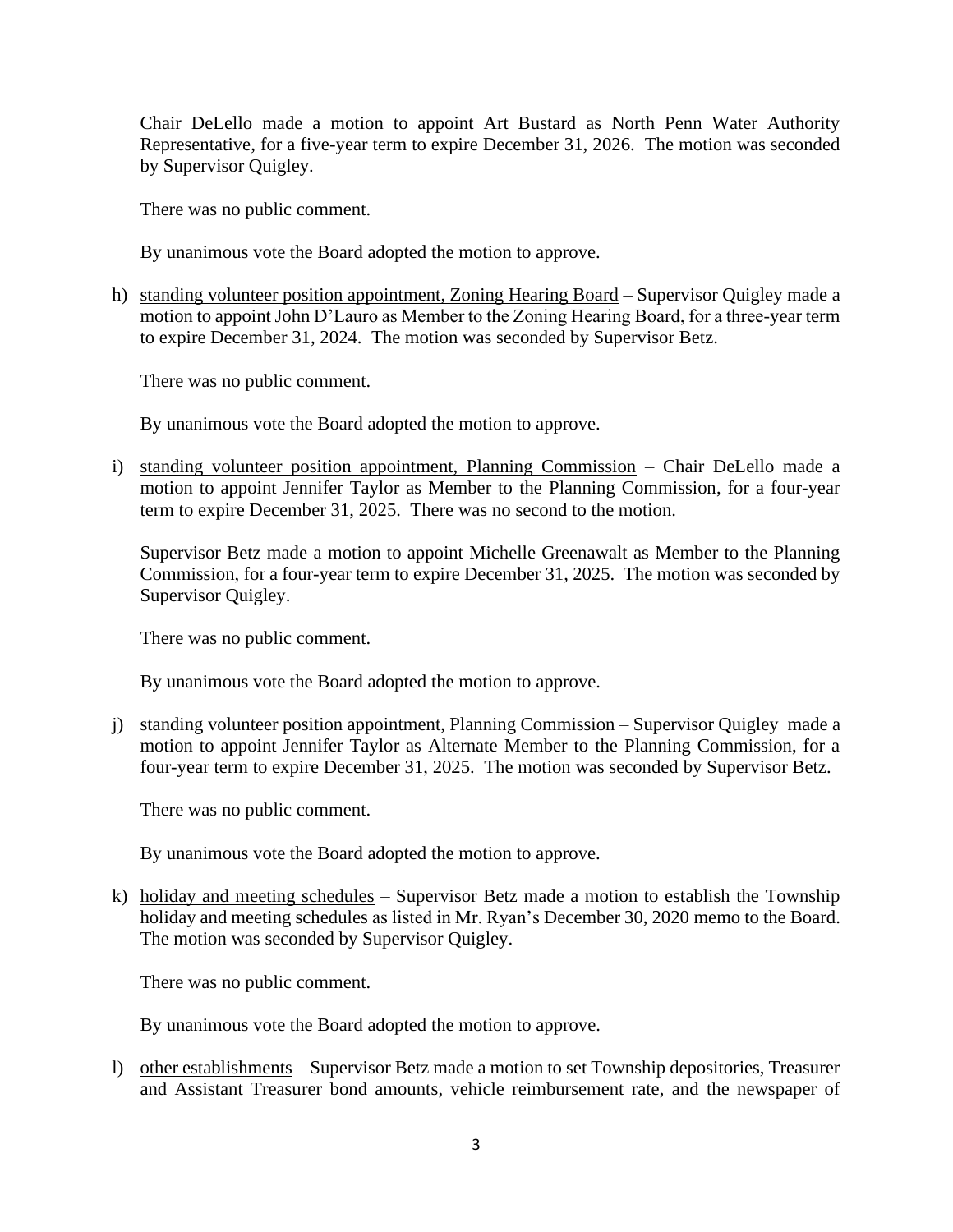Chair DeLello made a motion to appoint Art Bustard as North Penn Water Authority Representative, for a five-year term to expire December 31, 2026. The motion was seconded by Supervisor Quigley.

There was no public comment.

By unanimous vote the Board adopted the motion to approve.

h) standing volunteer position appointment, Zoning Hearing Board – Supervisor Quigley made a motion to appoint John D'Lauro as Member to the Zoning Hearing Board, for a three-year term to expire December 31, 2024. The motion was seconded by Supervisor Betz.

There was no public comment.

By unanimous vote the Board adopted the motion to approve.

i) standing volunteer position appointment, Planning Commission – Chair DeLello made a motion to appoint Jennifer Taylor as Member to the Planning Commission, for a four-year term to expire December 31, 2025. There was no second to the motion.

Supervisor Betz made a motion to appoint Michelle Greenawalt as Member to the Planning Commission, for a four-year term to expire December 31, 2025. The motion was seconded by Supervisor Quigley.

There was no public comment.

By unanimous vote the Board adopted the motion to approve.

j) standing volunteer position appointment, Planning Commission – Supervisor Quigley made a motion to appoint Jennifer Taylor as Alternate Member to the Planning Commission, for a four-year term to expire December 31, 2025. The motion was seconded by Supervisor Betz.

There was no public comment.

By unanimous vote the Board adopted the motion to approve.

k) holiday and meeting schedules – Supervisor Betz made a motion to establish the Township holiday and meeting schedules as listed in Mr. Ryan's December 30, 2020 memo to the Board. The motion was seconded by Supervisor Quigley.

There was no public comment.

By unanimous vote the Board adopted the motion to approve.

l) other establishments – Supervisor Betz made a motion to set Township depositories, Treasurer and Assistant Treasurer bond amounts, vehicle reimbursement rate, and the newspaper of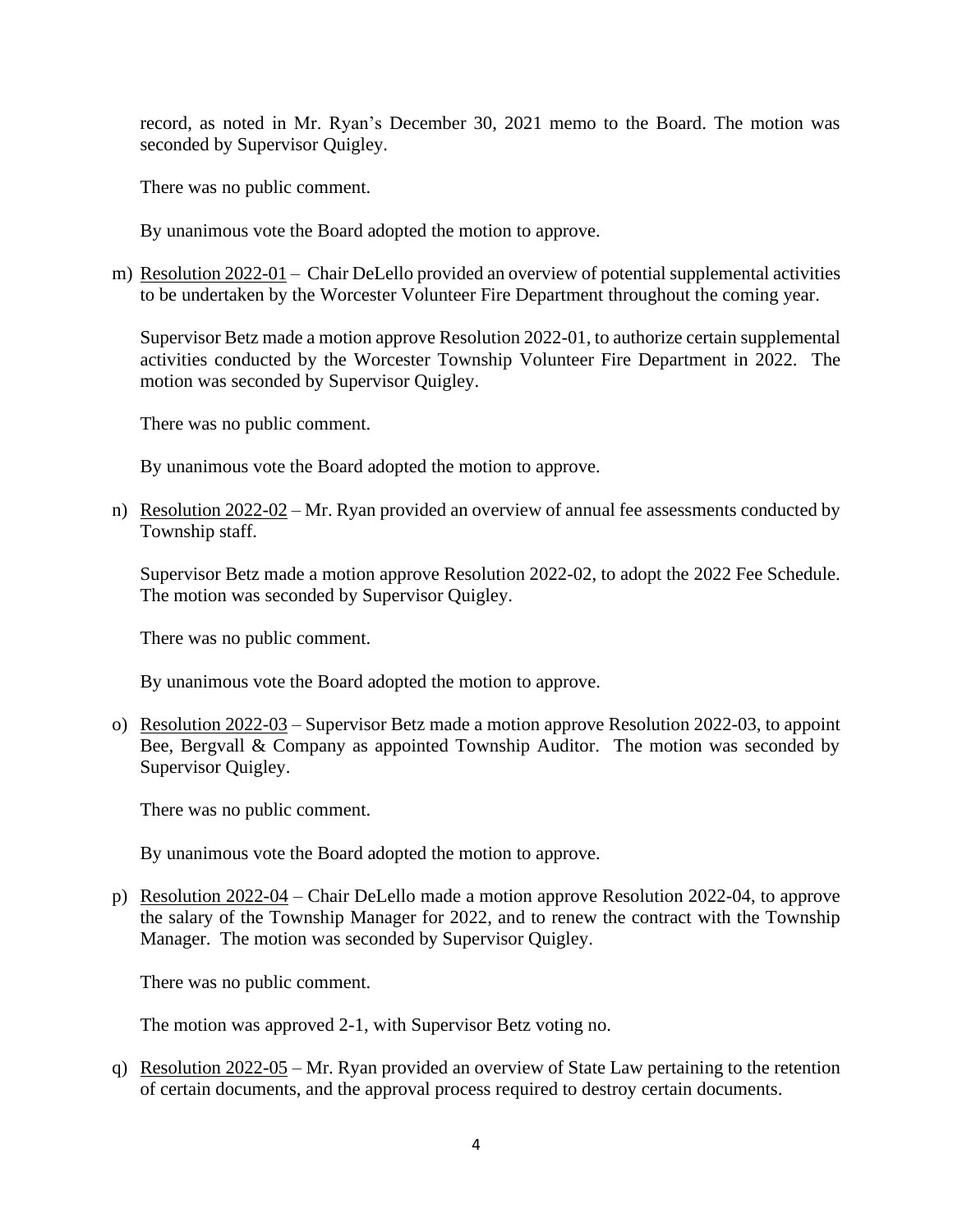record, as noted in Mr. Ryan's December 30, 2021 memo to the Board. The motion was seconded by Supervisor Quigley.

There was no public comment.

By unanimous vote the Board adopted the motion to approve.

m) Resolution 2022-01 – Chair DeLello provided an overview of potential supplemental activities to be undertaken by the Worcester Volunteer Fire Department throughout the coming year.

Supervisor Betz made a motion approve Resolution 2022-01, to authorize certain supplemental activities conducted by the Worcester Township Volunteer Fire Department in 2022. The motion was seconded by Supervisor Quigley.

There was no public comment.

By unanimous vote the Board adopted the motion to approve.

n) Resolution 2022-02 – Mr. Ryan provided an overview of annual fee assessments conducted by Township staff.

Supervisor Betz made a motion approve Resolution 2022-02, to adopt the 2022 Fee Schedule. The motion was seconded by Supervisor Quigley.

There was no public comment.

By unanimous vote the Board adopted the motion to approve.

o) Resolution 2022-03 – Supervisor Betz made a motion approve Resolution 2022-03, to appoint Bee, Bergvall & Company as appointed Township Auditor. The motion was seconded by Supervisor Quigley.

There was no public comment.

By unanimous vote the Board adopted the motion to approve.

p) Resolution 2022-04 – Chair DeLello made a motion approve Resolution 2022-04, to approve the salary of the Township Manager for 2022, and to renew the contract with the Township Manager. The motion was seconded by Supervisor Quigley.

There was no public comment.

The motion was approved 2-1, with Supervisor Betz voting no.

q) Resolution 2022-05 – Mr. Ryan provided an overview of State Law pertaining to the retention of certain documents, and the approval process required to destroy certain documents.